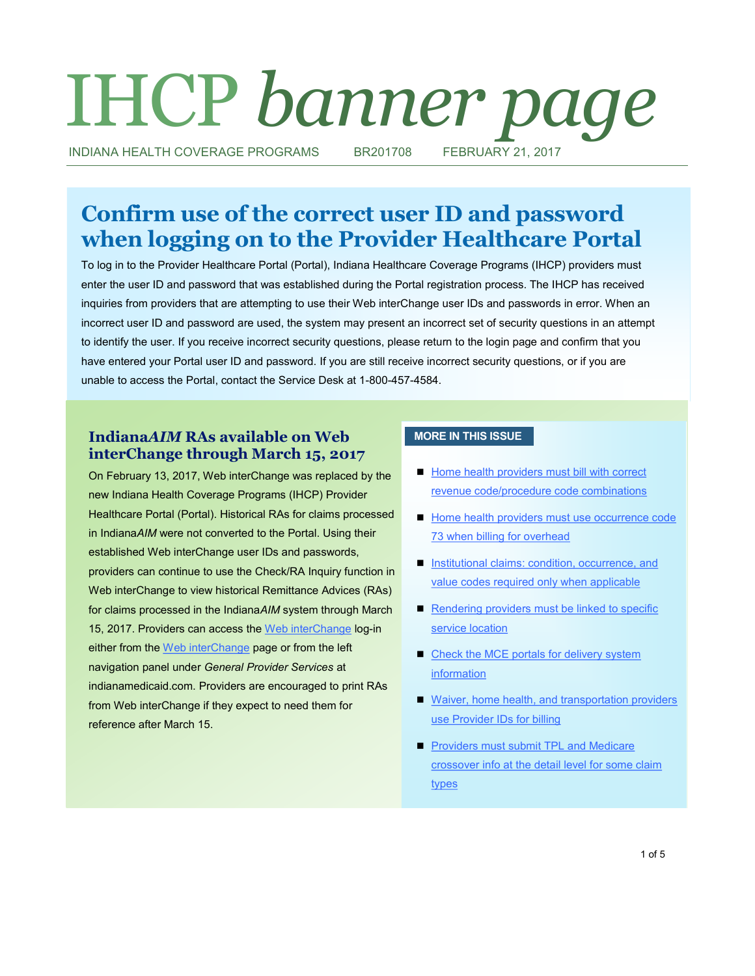# IHCP *banner page*

INDIANA HEALTH COVERAGE PROGRAMS BR201708 FEBRUARY 21, 2017

## **Confirm use of the correct user ID and password when logging on to the Provider Healthcare Portal**

To log in to the Provider Healthcare Portal (Portal), Indiana Healthcare Coverage Programs (IHCP) providers must enter the user ID and password that was established during the Portal registration process. The IHCP has received inquiries from providers that are attempting to use their Web interChange user IDs and passwords in error. When an incorrect user ID and password are used, the system may present an incorrect set of security questions in an attempt to identify the user. If you receive incorrect security questions, please return to the login page and confirm that you have entered your Portal user ID and password. If you are still receive incorrect security questions, or if you are unable to access the Portal, contact the Service Desk at 1-800-457-4584.

#### **Indiana***AIM* **RAs available on Web interChange through March 15, 2017**

On February 13, 2017, Web interChange was replaced by the new Indiana Health Coverage Programs (IHCP) Provider Healthcare Portal (Portal). Historical RAs for claims processed in Indiana*AIM* were not converted to the Portal. Using their established Web interChange user IDs and passwords, providers can continue to use the Check/RA Inquiry function in Web interChange to view historical Remittance Advices (RAs) for claims processed in the Indiana*AIM* system through March 15, 2017. Providers can access the [Web interChange](https://interchange.indianamedicaid.com/Administrative/logon.aspx) log-in either from the [Web interChange](http://provider.indianamedicaid.com/general-provider-services/web-interchange.aspx) page or from the left navigation panel under *General Provider Services* at indianamedicaid.com. Providers are encouraged to print RAs from Web interChange if they expect to need them for reference after March 15.

#### **MORE IN THIS ISSUE**

- Home health providers must bill with correct [revenue code/procedure code combinations](#page-1-0)
- Home health providers must use occurrence code [73 when billing for overhead](#page-1-0)
- Institutional claims: condition, occurrence, and [value codes required only when applicable](#page-2-0)
- Rendering providers must be linked to specific [service location](#page-2-0)
- Check the MCE portals for delivery system [information](#page-3-0)
- Waiver, home health, and transportation providers [use Provider IDs for billing](#page-3-0)
- **Providers must submit TPL and Medicare** [crossover info at the detail level for some claim](#page-4-0)  [types](#page-4-0)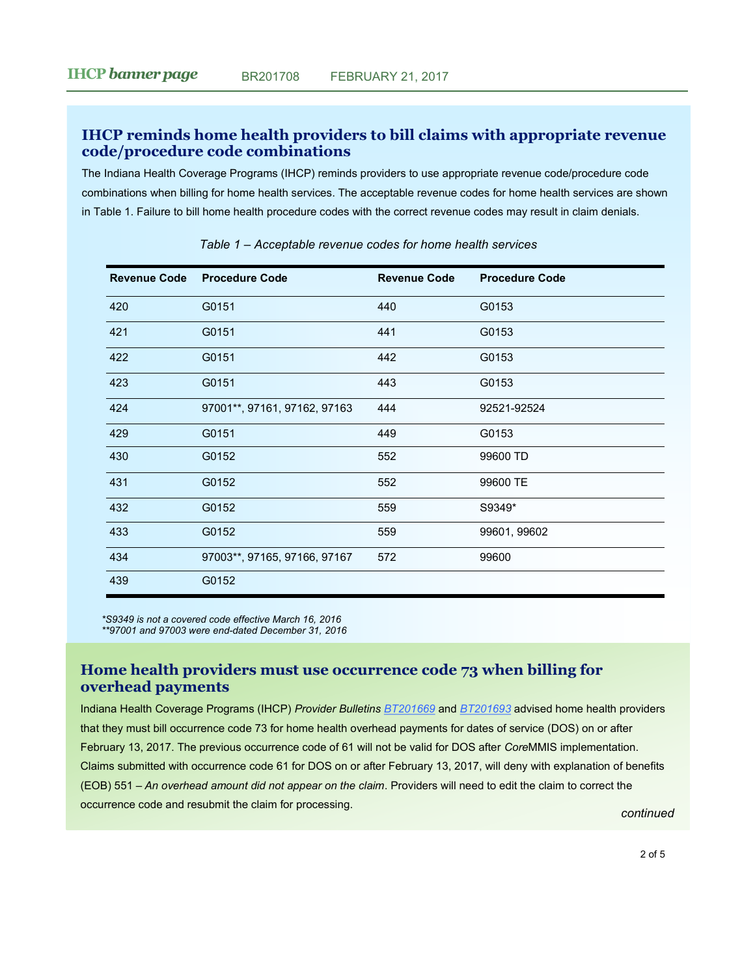#### <span id="page-1-0"></span>**IHCP reminds home health providers to bill claims with appropriate revenue code/procedure code combinations**

The Indiana Health Coverage Programs (IHCP) reminds providers to use appropriate revenue code/procedure code combinations when billing for home health services. The acceptable revenue codes for home health services are shown in Table 1. Failure to bill home health procedure codes with the correct revenue codes may result in claim denials.

| <b>Revenue Code</b> | <b>Procedure Code</b>        | <b>Revenue Code</b> | <b>Procedure Code</b> |
|---------------------|------------------------------|---------------------|-----------------------|
| 420                 | G0151                        | 440                 | G0153                 |
| 421                 | G0151                        | 441                 | G0153                 |
| 422                 | G0151                        | 442                 | G0153                 |
| 423                 | G0151                        | 443                 | G0153                 |
| 424                 | 97001**, 97161, 97162, 97163 | 444                 | 92521-92524           |
| 429                 | G0151                        | 449                 | G0153                 |
| 430                 | G0152                        | 552                 | 99600 TD              |
| 431                 | G0152                        | 552                 | 99600 TE              |
| 432                 | G0152                        | 559                 | S9349*                |
| 433                 | G0152                        | 559                 | 99601, 99602          |
| 434                 | 97003**, 97165, 97166, 97167 | 572                 | 99600                 |
| 439                 | G0152                        |                     |                       |

*Table 1 – Acceptable revenue codes for home health services*

*\*S9349 is not a covered code effective March 16, 2016 \*\*97001 and 97003 were end-dated December 31, 2016*

#### **Home health providers must use occurrence code 73 when billing for overhead payments**

Indiana Health Coverage Programs (IHCP) *Provider Bulletins [BT201669](http://provider.indianamedicaid.com/ihcp/Bulletins/BT201669.pdf)* and *[BT201693](http://provider.indianamedicaid.com/ihcp/Bulletins/BT201693.pdf)* advised home health providers that they must bill occurrence code 73 for home health overhead payments for dates of service (DOS) on or after February 13, 2017. The previous occurrence code of 61 will not be valid for DOS after *Core*MMIS implementation. Claims submitted with occurrence code 61 for DOS on or after February 13, 2017, will deny with explanation of benefits (EOB) 551 – *An overhead amount did not appear on the claim*. Providers will need to edit the claim to correct the occurrence code and resubmit the claim for processing. *continued*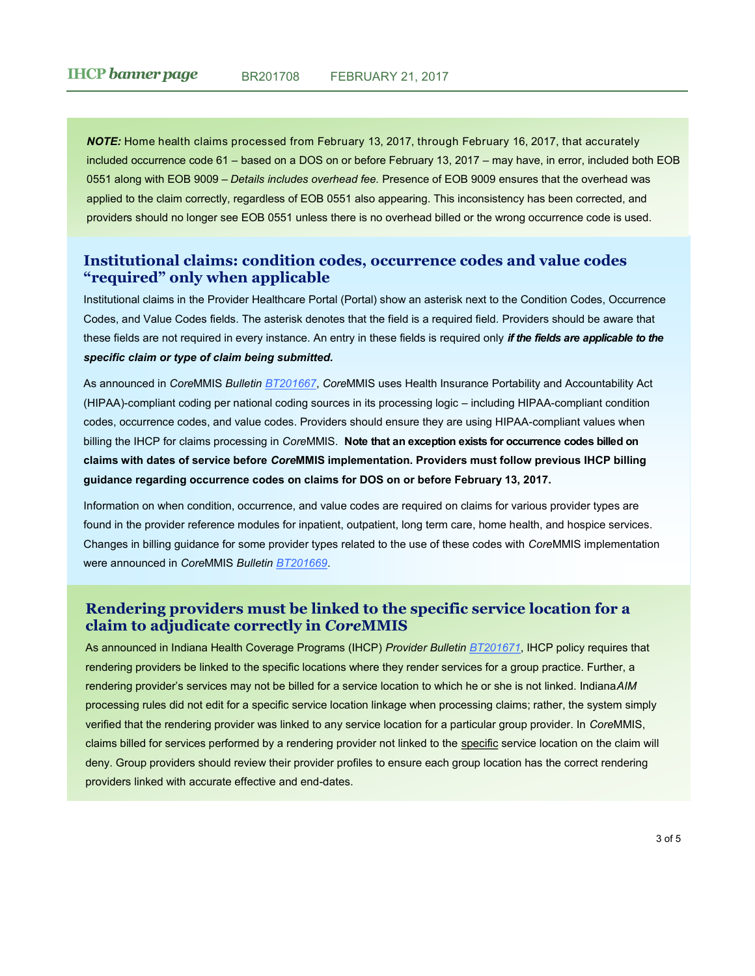<span id="page-2-0"></span>*NOTE:* Home health claims processed from February 13, 2017, through February 16, 2017, that accurately included occurrence code 61 – based on a DOS on or before February 13, 2017 – may have, in error, included both EOB 0551 along with EOB 9009 – *Details includes overhead fee.* Presence of EOB 9009 ensures that the overhead was applied to the claim correctly, regardless of EOB 0551 also appearing. This inconsistency has been corrected, and providers should no longer see EOB 0551 unless there is no overhead billed or the wrong occurrence code is used.

#### **Institutional claims: condition codes, occurrence codes and value codes "required" only when applicable**

Institutional claims in the Provider Healthcare Portal (Portal) show an asterisk next to the Condition Codes, Occurrence Codes, and Value Codes fields. The asterisk denotes that the field is a required field. Providers should be aware that these fields are not required in every instance. An entry in these fields is required only *if the fields are applicable to the specific claim or type of claim being submitted.* 

As announced in *Core*MMIS *Bulletin [BT201667](http://provider.indianamedicaid.com/ihcp/Bulletins/BT201667.pdf)*, *Core*MMIS uses Health Insurance Portability and Accountability Act (HIPAA)-compliant coding per national coding sources in its processing logic – including HIPAA-compliant condition codes, occurrence codes, and value codes. Providers should ensure they are using HIPAA-compliant values when billing the IHCP for claims processing in *Core*MMIS. **Note that an exception exists for occurrence codes billed on claims with dates of service before** *Core***MMIS implementation. Providers must follow previous IHCP billing guidance regarding occurrence codes on claims for DOS on or before February 13, 2017.**

Information on when condition, occurrence, and value codes are required on claims for various provider types are found in the provider reference modules for inpatient, outpatient, long term care, home health, and hospice services. Changes in billing guidance for some provider types related to the use of these codes with *Core*MMIS implementation were announced in *Core*MMIS *Bulletin [BT201669](http://provider.indianamedicaid.com/ihcp/Bulletins/BT201669.pdf)*.

#### **Rendering providers must be linked to the specific service location for a claim to adjudicate correctly in** *Core***MMIS**

As announced in Indiana Health Coverage Programs (IHCP) *Provider Bulletin [BT201671](http://provider.indianamedicaid.com/ihcp/Bulletins/BT201671.pdf)*, IHCP policy requires that rendering providers be linked to the specific locations where they render services for a group practice. Further, a rendering provider's services may not be billed for a service location to which he or she is not linked. Indiana*AIM*  processing rules did not edit for a specific service location linkage when processing claims; rather, the system simply verified that the rendering provider was linked to any service location for a particular group provider. In *Core*MMIS, claims billed for services performed by a rendering provider not linked to the specific service location on the claim will deny. Group providers should review their provider profiles to ensure each group location has the correct rendering providers linked with accurate effective and end-dates.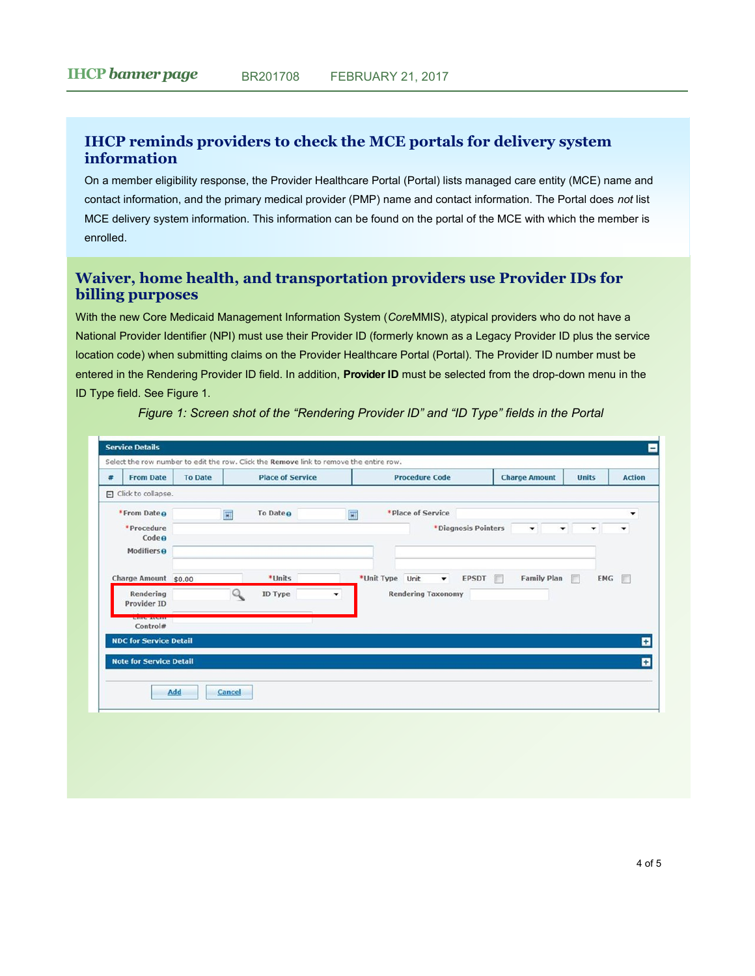#### <span id="page-3-0"></span>**IHCP reminds providers to check the MCE portals for delivery system information**

On a member eligibility response, the Provider Healthcare Portal (Portal) lists managed care entity (MCE) name and contact information, and the primary medical provider (PMP) name and contact information. The Portal does *not* list MCE delivery system information. This information can be found on the portal of the MCE with which the member is enrolled.

### **Waiver, home health, and transportation providers use Provider IDs for billing purposes**

With the new Core Medicaid Management Information System (*Core*MMIS), atypical providers who do not have a National Provider Identifier (NPI) must use their Provider ID (formerly known as a Legacy Provider ID plus the service location code) when submitting claims on the Provider Healthcare Portal (Portal). The Provider ID number must be entered in the Rendering Provider ID field. In addition, **Provider ID** must be selected from the drop-down menu in the ID Type field. See Figure 1.

| 畫 | <b>From Date</b>                           | <b>Place of Service</b><br><b>To Date</b> |   |                      | <b>Procedure Code</b>                   |                     | <b>Charge Amount</b>      | <b>Units</b> | <b>Action</b>  |
|---|--------------------------------------------|-------------------------------------------|---|----------------------|-----------------------------------------|---------------------|---------------------------|--------------|----------------|
|   | $\Box$ Click to collapse.                  |                                           |   |                      |                                         |                     |                           |              |                |
|   | *From Date o                               |                                           | 圓 | To Date <sub>O</sub> | *Place of Service<br>圓                  |                     |                           |              | ۰              |
|   | *Procedure<br>Code e<br><b>Modifiers o</b> |                                           |   |                      |                                         | *Diagnosis Pointers | $\blacktriangledown$<br>▼ | ▼            |                |
|   | Charge Amount \$0.00                       |                                           |   | *Units               | *Unit Type Unit<br>$\blacktriangledown$ | <b>EPSDT</b><br>ान  | <b>Family Plan</b>        | EMG<br>桐     | $\blacksquare$ |
|   | Rendering<br>Provider ID                   |                                           |   | ID Type              | <b>Rendering Taxonomy</b>               |                     |                           |              |                |
|   | ----------------<br>Control#               |                                           |   |                      |                                         |                     |                           |              |                |
|   | <b>NDC for Service Detail</b>              |                                           |   |                      |                                         |                     |                           |              | E              |
|   | <b>Note for Service Detail</b>             |                                           |   |                      |                                         |                     |                           |              | E              |

*Figure 1: Screen shot of the "Rendering Provider ID" and "ID Type" fields in the Portal*